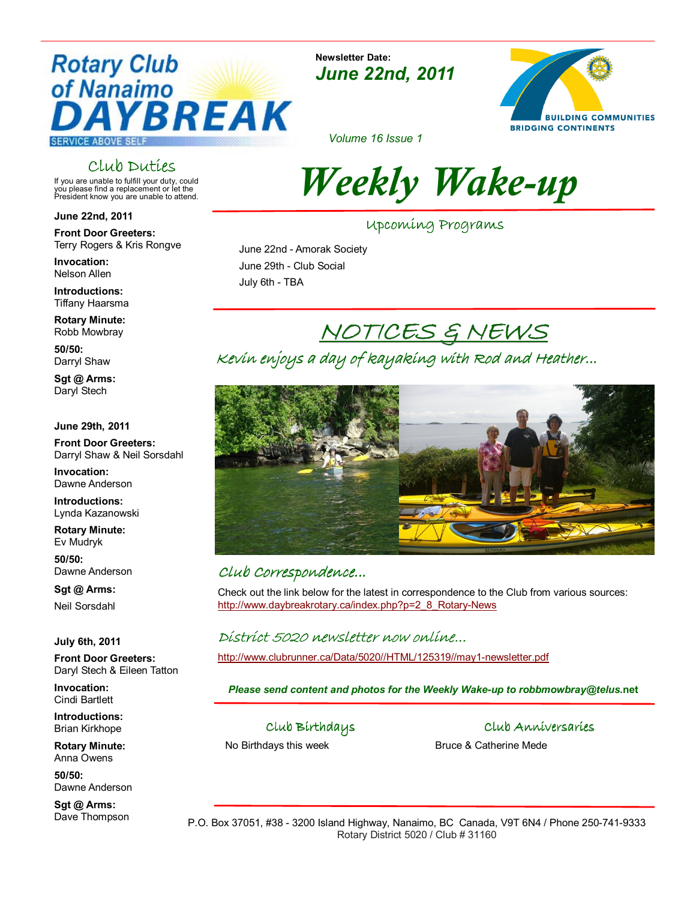### **Rotary Club** of Nanaimo YBREAK **SERVICE ABOVE SELF**

### Club Duties

If you are unable to fulfill your duty, could you please find a replacement or let the President know you are unable to attend.

June 22nd, 2011

Front Door Greeters: Terry Rogers & Kris Rongve

Invocation: Nelson Allen

Introductions: Tiffany Haarsma

Rotary Minute: Robb Mowbray

50/50: Darryl Shaw

Sgt @ Arms: Daryl Stech

June 29th, 2011

Front Door Greeters: Darryl Shaw & Neil Sorsdahl

Invocation: Dawne Anderson

Introductions: Lynda Kazanowski

Rotary Minute: Ev Mudryk

50/50: Dawne Anderson

Sat @ Arms: Neil Sorsdahl

July 6th, 2011

Front Door Greeters: Daryl Stech & Eileen Tatton

Invocation: Cindi Bartlett

Introductions: Brian Kirkhope

Rotary Minute: Anna Owens

50/50: Dawne Anderson

Sgt @ Arms: Dave Thompson

Newsletter Date: June 22nd, 2011



Volume 16 Issue 1

# Weekly Wake-up

Upcoming Programs

 June 22nd - Amorak Society June 29th - Club Social July 6th - TBA

### NOTICES & NEWS

Kevin enjoys a day of kayaking with Rod and Heather...



#### Club Correspondence... Club Correspondence...

Check out the link below for the latest in correspondence to the Club from various sources: http://www.daybreakrotary.ca/index.php?p=2\_8\_Rotary-News

#### District 5020 newsletter now online...

http://www.clubrunner.ca/Data/5020//HTML/125319//may1-newsletter.pdf

Please send content and photos for the Weekly Wake-up to robbmowbray@telus.net

Club Birthdays

No Birthdays this week

Club Anniversaries.

Bruce & Catherine Mede

P.O. Box 37051, #38 - 3200 Island Highway, Nanaimo, BC Canada, V9T 6N4 / Phone 250-741-9333 Rotary District 5020 / Club # 31160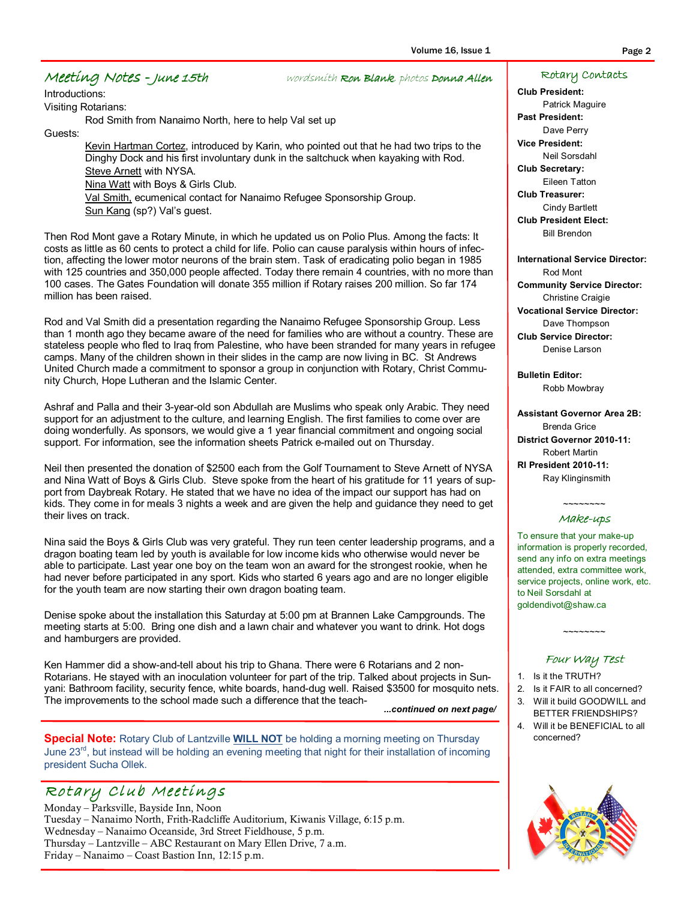#### Volume 16, Issue 1 Page 2

#### Meeting Notes - June 15th wordsmith Ron Blank, photos Donna Allen

Introductions: Visiting Rotarians:

Rod Smith from Nanaimo North, here to help Val set up

Guests:

Kevin Hartman Cortez, introduced by Karin, who pointed out that he had two trips to the Dinghy Dock and his first involuntary dunk in the saltchuck when kayaking with Rod. Steve Arnett with NYSA. Nina Watt with Boys & Girls Club. Val Smith, ecumenical contact for Nanaimo Refugee Sponsorship Group. Sun Kang (sp?) Val's guest.

Then Rod Mont gave a Rotary Minute, in which he updated us on Polio Plus. Among the facts: It costs as little as 60 cents to protect a child for life. Polio can cause paralysis within hours of infection, affecting the lower motor neurons of the brain stem. Task of eradicating polio began in 1985 with 125 countries and 350,000 people affected. Today there remain 4 countries, with no more than 100 cases. The Gates Foundation will donate 355 million if Rotary raises 200 million. So far 174 million has been raised.

Rod and Val Smith did a presentation regarding the Nanaimo Refugee Sponsorship Group. Less than 1 month ago they became aware of the need for families who are without a country. These are stateless people who fled to Iraq from Palestine, who have been stranded for many years in refugee camps. Many of the children shown in their slides in the camp are now living in BC. St Andrews United Church made a commitment to sponsor a group in conjunction with Rotary, Christ Community Church, Hope Lutheran and the Islamic Center.

Ashraf and Palla and their 3-year-old son Abdullah are Muslims who speak only Arabic. They need support for an adjustment to the culture, and learning English. The first families to come over are doing wonderfully. As sponsors, we would give a 1 year financial commitment and ongoing social support. For information, see the information sheets Patrick e-mailed out on Thursday.

Neil then presented the donation of \$2500 each from the Golf Tournament to Steve Arnett of NYSA and Nina Watt of Boys & Girls Club. Steve spoke from the heart of his gratitude for 11 years of support from Daybreak Rotary. He stated that we have no idea of the impact our support has had on kids. They come in for meals 3 nights a week and are given the help and guidance they need to get their lives on track.

Nina said the Boys & Girls Club was very grateful. They run teen center leadership programs, and a dragon boating team led by youth is available for low income kids who otherwise would never be able to participate. Last year one boy on the team won an award for the strongest rookie, when he had never before participated in any sport. Kids who started 6 years ago and are no longer eligible for the youth team are now starting their own dragon boating team.

Denise spoke about the installation this Saturday at 5:00 pm at Brannen Lake Campgrounds. The meeting starts at 5:00. Bring one dish and a lawn chair and whatever you want to drink. Hot dogs and hamburgers are provided.

Ken Hammer did a show-and-tell about his trip to Ghana. There were 6 Rotarians and 2 non-Rotarians. He stayed with an inoculation volunteer for part of the trip. Talked about projects in Sunyani: Bathroom facility, security fence, white boards, hand-dug well. Raised \$3500 for mosquito nets. The improvements to the school made such a difference that the teach-

...continued on next page/

Special Note: Rotary Club of Lantzville WILL NOT be holding a morning meeting on Thursday June 23<sup>rd</sup>, but instead will be holding an evening meeting that night for their installation of incoming president Sucha Ollek.

### Rotary Club Meetings

Monday – Parksville, Bayside Inn, Noon Tuesday – Nanaimo North, Frith-Radcliffe Auditorium, Kiwanis Village, 6:15 p.m. Wednesday – Nanaimo Oceanside, 3rd Street Fieldhouse, 5 p.m. Thursday – Lantzville – ABC Restaurant on Mary Ellen Drive, 7 a.m. Friday – Nanaimo – Coast Bastion Inn, 12:15 p.m.

#### Rotary Contacts

Club President: Patrick Maguire Past President: Dave Perry Vice President: Neil Sorsdahl Club Secretary: Eileen Tatton Club Treasurer:

Cindy Bartlett Club President Elect: Bill Brendon

International Service Director: Rod Mont Community Service Director: Christine Craigie Vocational Service Director: Dave Thompson Club Service Director: Denise Larson

Bulletin Editor: Robb Mowbray

Assistant Governor Area 2B: Brenda Grice District Governor 2010-11: Robert Martin RI President 2010-11: Ray Klinginsmith

#### $\sim$ ~~~~~~ Make-ups

To ensure that your make-up information is properly recorded, send any info on extra meetings attended, extra committee work, service projects, online work, etc. to Neil Sorsdahl at goldendivot@shaw.ca

#### Four Way Test

 $\sim$ ~~~~~~

- 1. Is it the TRUTH?
- 2. Is it FAIR to all concerned? 3. Will it build GOODWILL and
- BETTER FRIENDSHIPS?
- 4. Will it be BENEFICIAL to all concerned?

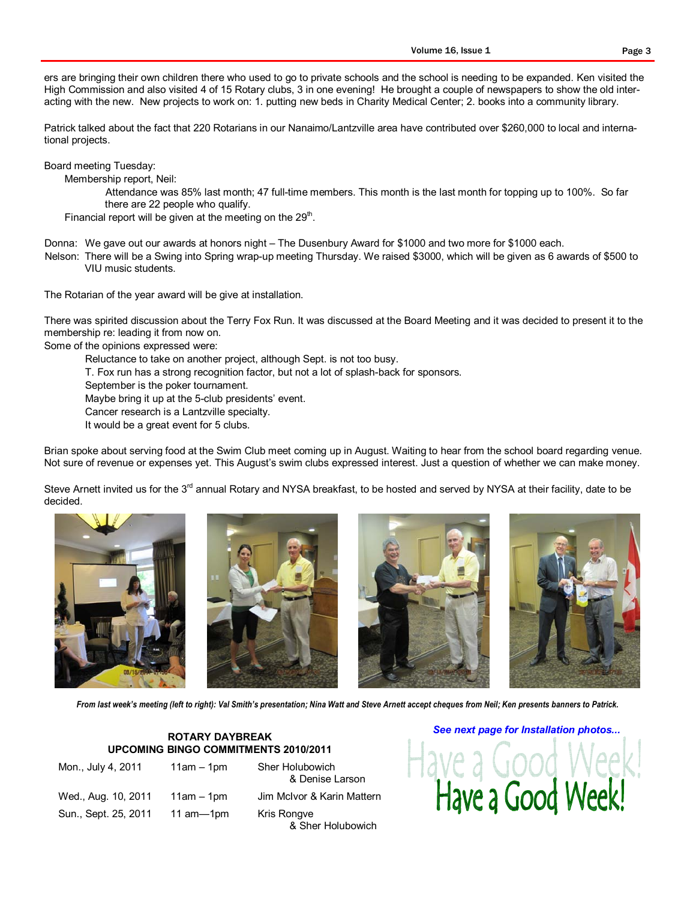ers are bringing their own children there who used to go to private schools and the school is needing to be expanded. Ken visited the High Commission and also visited 4 of 15 Rotary clubs, 3 in one evening! He brought a couple of newspapers to show the old interacting with the new. New projects to work on: 1. putting new beds in Charity Medical Center; 2. books into a community library.

Patrick talked about the fact that 220 Rotarians in our Nanaimo/Lantzville area have contributed over \$260,000 to local and international projects.

Board meeting Tuesday:

Membership report, Neil:

Attendance was 85% last month; 47 full-time members. This month is the last month for topping up to 100%. So far there are 22 people who qualify.

Financial report will be given at the meeting on the  $29<sup>th</sup>$ .

Donna: We gave out our awards at honors night – The Dusenbury Award for \$1000 and two more for \$1000 each.

Nelson: There will be a Swing into Spring wrap-up meeting Thursday. We raised \$3000, which will be given as 6 awards of \$500 to VIU music students.

The Rotarian of the year award will be give at installation.

There was spirited discussion about the Terry Fox Run. It was discussed at the Board Meeting and it was decided to present it to the membership re: leading it from now on.

Some of the opinions expressed were:

Reluctance to take on another project, although Sept. is not too busy.

T. Fox run has a strong recognition factor, but not a lot of splash-back for sponsors.

September is the poker tournament.

Maybe bring it up at the 5-club presidents' event.

Cancer research is a Lantzville specialty.

It would be a great event for 5 clubs.

Brian spoke about serving food at the Swim Club meet coming up in August. Waiting to hear from the school board regarding venue. Not sure of revenue or expenses yet. This August's swim clubs expressed interest. Just a question of whether we can make money.

Steve Arnett invited us for the 3<sup>rd</sup> annual Rotary and NYSA breakfast, to be hosted and served by NYSA at their facility, date to be decided.









From last week's meeting (left to right): Val Smith's presentation; Nina Watt and Steve Arnett accept cheques from Neil; Ken presents banners to Patrick.

#### ROTARY DAYBREAK UPCOMING BINGO COMMITMENTS 2010/2011

Mon., July 4, 2011 11am – 1pm Sher Holubowich Wed., Aug. 10, 2011 11am – 1pm Jim McIvor & Karin Mattern Sun., Sept. 25, 2011 11 am-1pm Kris Rongve

 & Denise Larson & Sher Holubowich